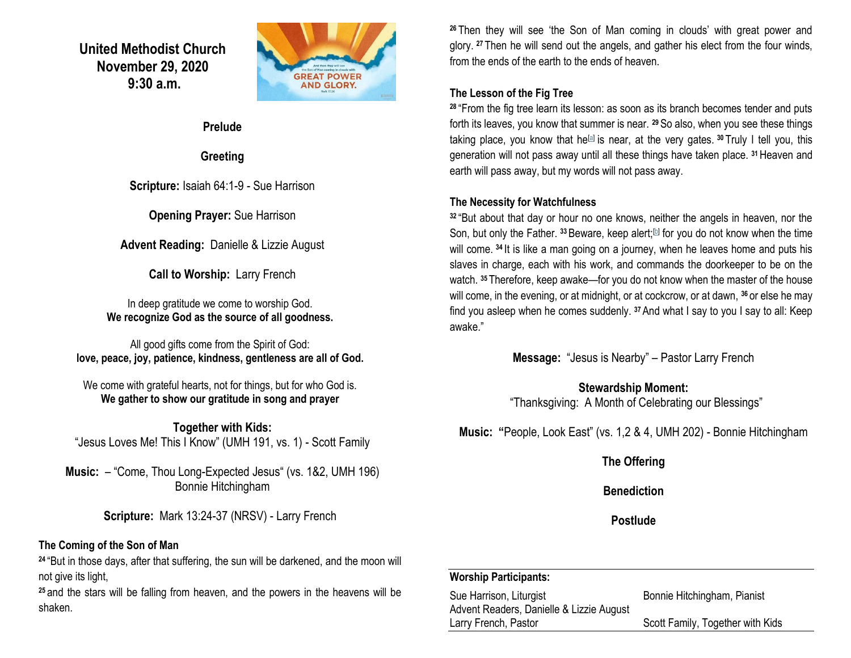**United Methodist Church November 29, 2020 9:30 a.m.**



#### **Prelude**

### **Greeting**

**Scripture:** Isaiah 64:1-9 - Sue Harrison

**Opening Prayer:** Sue Harrison

**Advent Reading:** Danielle & Lizzie August

**Call to Worship:** Larry French

In deep gratitude we come to worship God. **We recognize God as the source of all goodness.**

All good gifts come from the Spirit of God: **love, peace, joy, patience, kindness, gentleness are all of God.**

We come with grateful hearts, not for things, but for who God is. **We gather to show our gratitude in song and prayer**

**Together with Kids:** "Jesus Loves Me! This I Know" (UMH 191, vs. 1) - Scott Family

**Music:** – "Come, Thou Long-Expected Jesus" (vs. 1&2, UMH 196) Bonnie Hitchingham

**Scripture:** Mark 13:24-37 (NRSV) - Larry French

### **The Coming of the Son of Man**

**<sup>24</sup>** "But in those days, after that suffering, the sun will be darkened, and the moon will not give its light,

**<sup>25</sup>** and the stars will be falling from heaven, and the powers in the heavens will be shaken.

**<sup>26</sup>** Then they will see 'the Son of Man coming in clouds' with great power and glory. **<sup>27</sup>** Then he will send out the angels, and gather his elect from the four winds, from the ends of the earth to the ends of heaven.

### **The Lesson of the Fig Tree**

**<sup>28</sup>** "From the fig tree learn its lesson: as soon as its branch becomes tender and puts forth its leaves, you know that summer is near. **<sup>29</sup>**So also, when you see these things taking place, you know that he<sup>[\[a\]](https://www.biblegateway.com/passage/?search=Mark+13%3A24-37&version=NRSV#fen-NRSV-24740a)</sup> is near, at the very gates. <sup>30</sup> Truly I tell you, this generation will not pass away until all these things have taken place. **<sup>31</sup>**Heaven and earth will pass away, but my words will not pass away.

### **The Necessity for Watchfulness**

**<sup>32</sup>** "But about that day or hour no one knows, neither the angels in heaven, nor the Son, but only the Father. <sup>33</sup> Beware, keep alert;<sup>[\[b\]](https://www.biblegateway.com/passage/?search=Mark+13%3A24-37&version=NRSV#fen-NRSV-24744b)</sup> for you do not know when the time will come. **<sup>34</sup>** It is like a man going on a journey, when he leaves home and puts his slaves in charge, each with his work, and commands the doorkeeper to be on the watch. **<sup>35</sup>** Therefore, keep awake—for you do not know when the master of the house will come, in the evening, or at midnight, or at cockcrow, or at dawn, **<sup>36</sup>** or else he may find you asleep when he comes suddenly. **<sup>37</sup>**And what I say to you I say to all: Keep awake."

**Message:** "Jesus is Nearby" – Pastor Larry French

### **Stewardship Moment:** "Thanksgiving: A Month of Celebrating our Blessings"

**Music: "**People, Look East" (vs. 1,2 & 4, UMH 202) - Bonnie Hitchingham

## **The Offering**

**Benediction**

**Postlude**

### **Worship Participants:**

Sue Harrison, Liturgist **Bonnie Hitchingham, Pianist** Advent Readers, Danielle & Lizzie August Larry French, Pastor **Scott Family, Together with Kids**